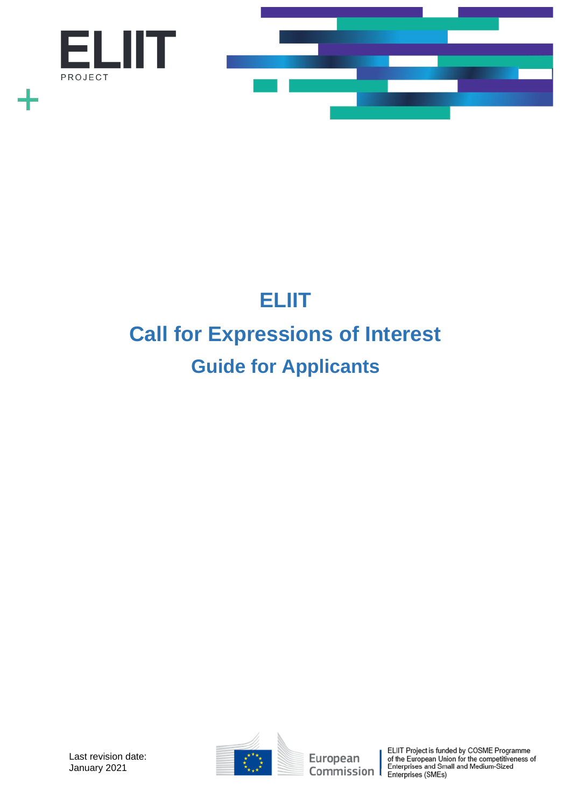

# **ELIIT Call for Expressions of Interest Guide for Applicants**



European Commission

ELIIT Project is funded by COSME Programme<br>of the European Union for the competitiveness of<br>Enterprises and Small and Medium-Sized<br>Enterprises (SMEs)

Last revision date: January 2021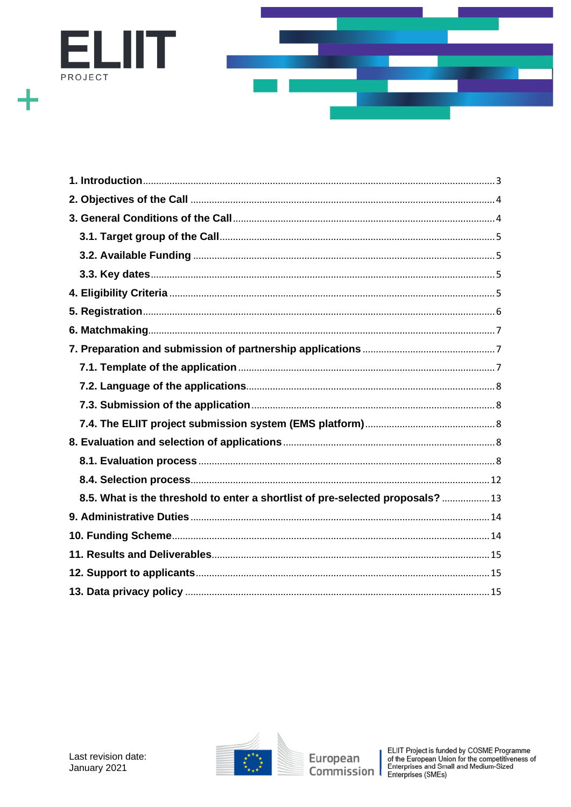



| 8.5. What is the threshold to enter a shortlist of pre-selected proposals?  13 |
|--------------------------------------------------------------------------------|
|                                                                                |
|                                                                                |
|                                                                                |
|                                                                                |
|                                                                                |

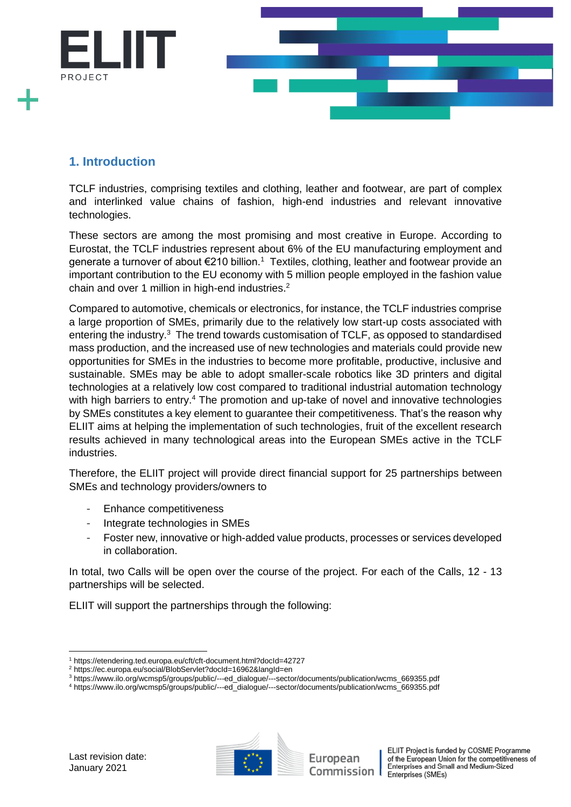

# <span id="page-2-0"></span>**1. Introduction**

TCLF industries, comprising textiles and clothing, leather and footwear, are part of complex and interlinked value chains of fashion, high-end industries and relevant innovative technologies.

These sectors are among the most promising and most creative in Europe. According to Eurostat, the TCLF industries represent about 6% of the EU manufacturing employment and generate a turnover of about €210 billion.<sup>1</sup> Textiles, clothing, leather and footwear provide an important contribution to the EU economy with 5 million people employed in the fashion value chain and over 1 million in high-end industries. $2$ 

Compared to automotive, chemicals or electronics, for instance, the TCLF industries comprise a large proportion of SMEs, primarily due to the relatively low start-up costs associated with entering the industry.<sup>3</sup> The trend towards customisation of TCLF, as opposed to standardised mass production, and the increased use of new technologies and materials could provide new opportunities for SMEs in the industries to become more profitable, productive, inclusive and sustainable. SMEs may be able to adopt smaller-scale robotics like 3D printers and digital technologies at a relatively low cost compared to traditional industrial automation technology with high barriers to entry.<sup>4</sup> The promotion and up-take of novel and innovative technologies by SMEs constitutes a key element to guarantee their competitiveness. That's the reason why ELIIT aims at helping the implementation of such technologies, fruit of the excellent research results achieved in many technological areas into the European SMEs active in the TCLF industries.

Therefore, the ELIIT project will provide direct financial support for 25 partnerships between SMEs and technology providers/owners to

- Enhance competitiveness
- Integrate technologies in SMEs
- Foster new, innovative or high-added value products, processes or services developed in collaboration.

In total, two Calls will be open over the course of the project. For each of the Calls, 12 - 13 partnerships will be selected.

ELIIT will support the partnerships through the following:



European Commission I

<sup>1</sup> https://etendering.ted.europa.eu/cft/cft-document.html?docId=42727

<sup>2</sup> https://ec.europa.eu/social/BlobServlet?docId=16962&langId=en

<sup>3</sup> https://www.ilo.org/wcmsp5/groups/public/---ed\_dialogue/---sector/documents/publication/wcms\_669355.pdf

<sup>4</sup> https://www.ilo.org/wcmsp5/groups/public/---ed\_dialogue/---sector/documents/publication/wcms\_669355.pdf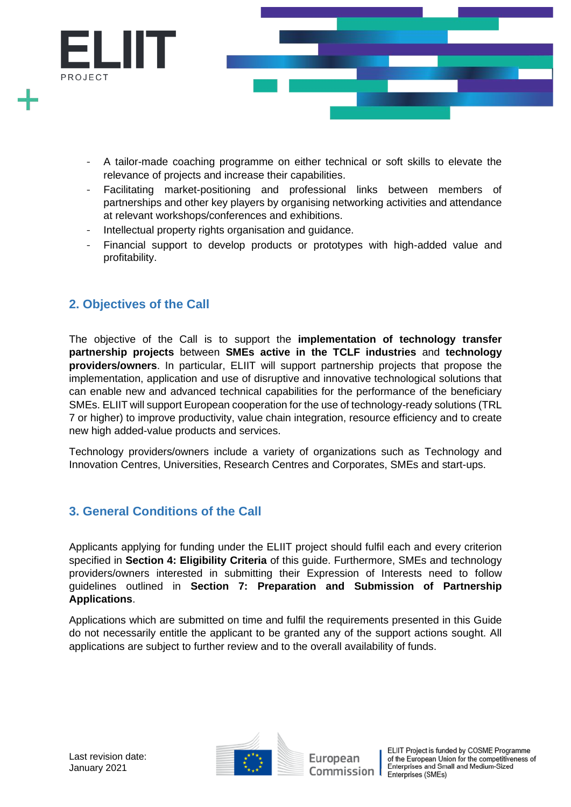

- A tailor-made coaching programme on either technical or soft skills to elevate the relevance of projects and increase their capabilities.
- Facilitating market-positioning and professional links between members of partnerships and other key players by organising networking activities and attendance at relevant workshops/conferences and exhibitions.
- Intellectual property rights organisation and guidance.
- Financial support to develop products or prototypes with high-added value and profitability.

# <span id="page-3-0"></span>**2. Objectives of the Call**

The objective of the Call is to support the **implementation of technology transfer partnership projects** between **SMEs active in the TCLF industries** and **technology providers/owners**. In particular, ELIIT will support partnership projects that propose the implementation, application and use of disruptive and innovative technological solutions that can enable new and advanced technical capabilities for the performance of the beneficiary SMEs. ELIIT will support European cooperation for the use of technology-ready solutions (TRL 7 or higher) to improve productivity, value chain integration, resource efficiency and to create new high added-value products and services.

Technology providers/owners include a variety of organizations such as Technology and Innovation Centres, Universities, Research Centres and Corporates, SMEs and start-ups.

# <span id="page-3-1"></span>**3. General Conditions of the Call**

Applicants applying for funding under the ELIIT project should fulfil each and every criterion specified in **Section 4: Eligibility Criteria** of this guide. Furthermore, SMEs and technology providers/owners interested in submitting their Expression of Interests need to follow guidelines outlined in **Section 7: Preparation and Submission of Partnership Applications**.

Applications which are submitted on time and fulfil the requirements presented in this Guide do not necessarily entitle the applicant to be granted any of the support actions sought. All applications are subject to further review and to the overall availability of funds.

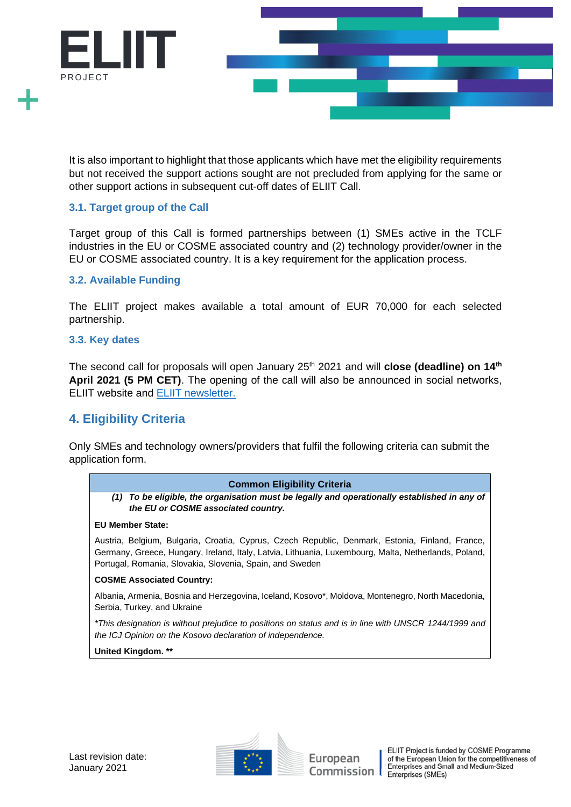

It is also important to highlight that those applicants which have met the eligibility requirements but not received the support actions sought are not precluded from applying for the same or other support actions in subsequent cut-off dates of ELIIT Call.

## <span id="page-4-0"></span>**3.1. Target group of the Call**

Target group of this Call is formed partnerships between (1) SMEs active in the TCLF industries in the EU or COSME associated country and (2) technology provider/owner in the EU or COSME associated country. It is a key requirement for the application process.

## <span id="page-4-1"></span>**3.2. Available Funding**

The ELIIT project makes available a total amount of EUR 70,000 for each selected partnership.

#### <span id="page-4-2"></span>**3.3. Key dates**

The second call for proposals will open January 25<sup>th</sup> 2021 and will **close (deadline) on 14<sup>th</sup> April 2021 (5 PM CET)**. The opening of the call will also be announced in social networks, ELIIT website and [ELIIT newsletter.](https://confirmsubscription.com/h/y/A21154E1B5A1F829) 

# <span id="page-4-3"></span>**4. Eligibility Criteria**

Only SMEs and technology owners/providers that fulfil the following criteria can submit the application form.

#### **Common Eligibility Criteria**

*(1) To be eligible, the organisation must be legally and operationally established in any of the EU or COSME associated country.*

#### **EU Member State:**

Austria, Belgium, Bulgaria, Croatia, Cyprus, Czech Republic, Denmark, Estonia, Finland, France, Germany, Greece, Hungary, Ireland, Italy, Latvia, Lithuania, Luxembourg, Malta, Netherlands, Poland, Portugal, Romania, Slovakia, Slovenia, Spain, and Sweden

#### **COSME Associated Country:**

Albania, Armenia, Bosnia and Herzegovina, Iceland, Kosovo\*, Moldova, Montenegro, North Macedonia, Serbia, Turkey, and Ukraine

*\*This designation is without prejudice to positions on status and is in line with UNSCR 1244/1999 and the ICJ Opinion on the Kosovo declaration of independence.*

**United Kingdom. \*\***

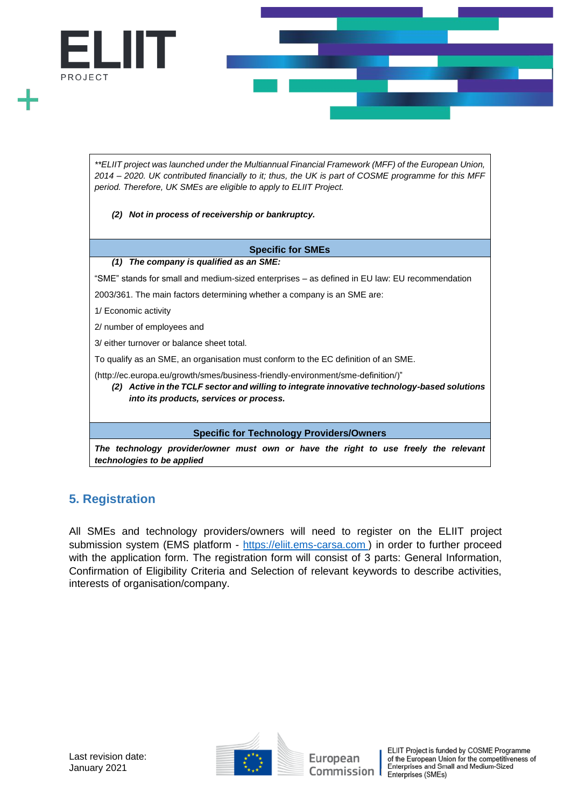

*The technology provider/owner must own or have the right to use freely the relevant technologies to be applied*

# <span id="page-5-0"></span>**5. Registration**

All SMEs and technology providers/owners will need to register on the ELIIT project submission system (EMS platform - [https://eliit.ems-carsa.com](https://eliit.ems-carsa.com/)) in order to further proceed with the application form. The registration form will consist of 3 parts: General Information, Confirmation of Eligibility Criteria and Selection of relevant keywords to describe activities, interests of organisation/company.

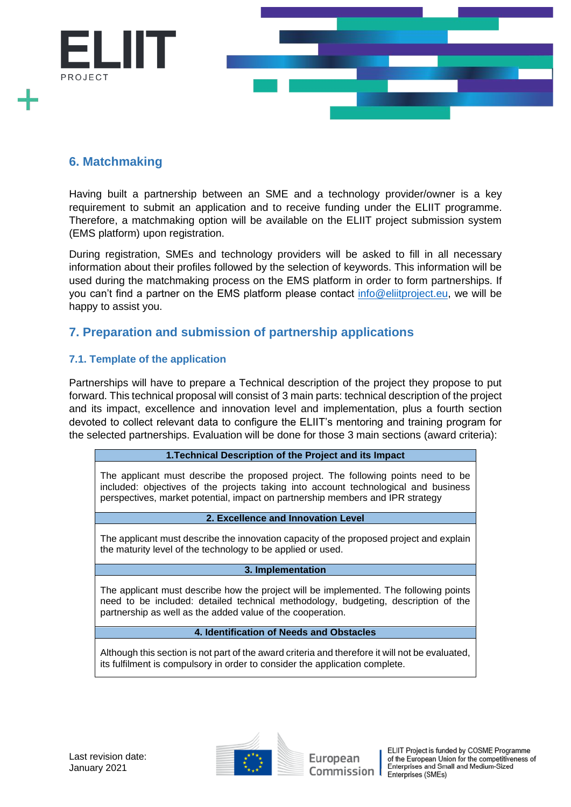

# <span id="page-6-0"></span>**6. Matchmaking**

Having built a partnership between an SME and a technology provider/owner is a key requirement to submit an application and to receive funding under the ELIIT programme. Therefore, a matchmaking option will be available on the ELIIT project submission system (EMS platform) upon registration.

During registration, SMEs and technology providers will be asked to fill in all necessary information about their profiles followed by the selection of keywords. This information will be used during the matchmaking process on the EMS platform in order to form partnerships. If you can't find a partner on the EMS platform please contact [info@eliitproject.eu,](mailto:info@eliitproject.eu) we will be happy to assist you.

# <span id="page-6-1"></span>**7. Preparation and submission of partnership applications**

## <span id="page-6-2"></span>**7.1. Template of the application**

Partnerships will have to prepare a Technical description of the project they propose to put forward. This technical proposal will consist of 3 main parts: technical description of the project and its impact, excellence and innovation level and implementation, plus a fourth section devoted to collect relevant data to configure the ELIIT's mentoring and training program for the selected partnerships. Evaluation will be done for those 3 main sections (award criteria):

#### **1.Technical Description of the Project and its Impact**

The applicant must describe the proposed project. The following points need to be included: objectives of the projects taking into account technological and business perspectives, market potential, impact on partnership members and IPR strategy

#### **2. Excellence and Innovation Level**

The applicant must describe the innovation capacity of the proposed project and explain the maturity level of the technology to be applied or used.

#### **3. Implementation**

The applicant must describe how the project will be implemented. The following points need to be included: detailed technical methodology, budgeting, description of the partnership as well as the added value of the cooperation.

#### **4. Identification of Needs and Obstacles**

Although this section is not part of the award criteria and therefore it will not be evaluated, its fulfilment is compulsory in order to consider the application complete.

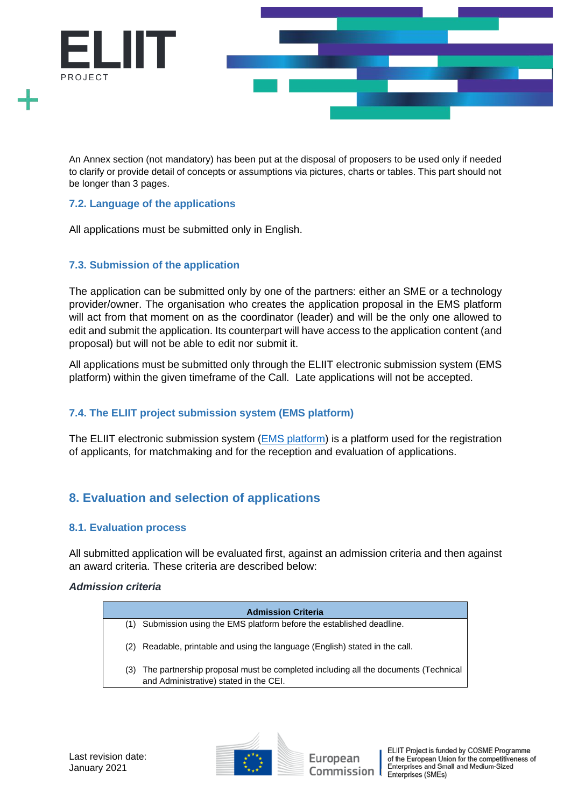

An Annex section (not mandatory) has been put at the disposal of proposers to be used only if needed to clarify or provide detail of concepts or assumptions via pictures, charts or tables. This part should not be longer than 3 pages.

## <span id="page-7-0"></span>**7.2. Language of the applications**

All applications must be submitted only in English.

## <span id="page-7-1"></span>**7.3. Submission of the application**

The application can be submitted only by one of the partners: either an SME or a technology provider/owner. The organisation who creates the application proposal in the EMS platform will act from that moment on as the coordinator (leader) and will be the only one allowed to edit and submit the application. Its counterpart will have access to the application content (and proposal) but will not be able to edit nor submit it.

All applications must be submitted only through the ELIIT electronic submission system (EMS platform) within the given timeframe of the Call. Late applications will not be accepted.

# <span id="page-7-2"></span>**7.4. The ELIIT project submission system (EMS platform)**

The ELIIT electronic submission system (**EMS** platform) is a platform used for the registration of applicants, for matchmaking and for the reception and evaluation of applications.

# <span id="page-7-3"></span>**8. Evaluation and selection of applications**

## <span id="page-7-4"></span>**8.1. Evaluation process**

All submitted application will be evaluated first, against an admission criteria and then against an award criteria. These criteria are described below:

### *Admission criteria*

| <b>Admission Criteria</b> |                                                                                                                             |  |  |
|---------------------------|-----------------------------------------------------------------------------------------------------------------------------|--|--|
| (1)                       | Submission using the EMS platform before the established deadline.                                                          |  |  |
| (2)                       | Readable, printable and using the language (English) stated in the call.                                                    |  |  |
| (3)                       | The partnership proposal must be completed including all the documents (Technical<br>and Administrative) stated in the CEI. |  |  |
|                           |                                                                                                                             |  |  |





European Commission 1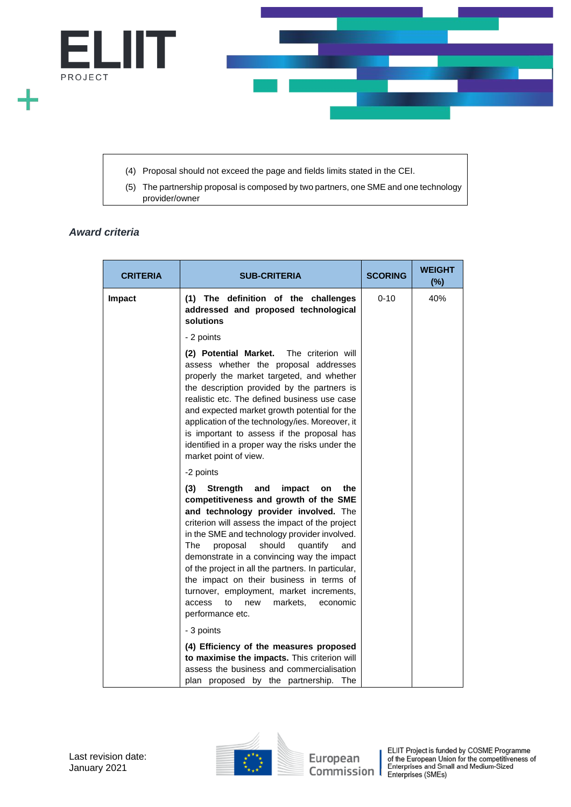

(4) Proposal should not exceed the page and fields limits stated in the CEI.

(5) The partnership proposal is composed by two partners, one SME and one technology provider/owner

#### *Award criteria*

| <b>CRITERIA</b> | <b>SUB-CRITERIA</b>                                                                                                                                                                                                                                                                                                                                                                                                                                                                                                                                      | <b>SCORING</b> | <b>WEIGHT</b><br>(%) |
|-----------------|----------------------------------------------------------------------------------------------------------------------------------------------------------------------------------------------------------------------------------------------------------------------------------------------------------------------------------------------------------------------------------------------------------------------------------------------------------------------------------------------------------------------------------------------------------|----------------|----------------------|
| Impact          | (1) The definition of the challenges<br>addressed and proposed technological<br>solutions                                                                                                                                                                                                                                                                                                                                                                                                                                                                | $0 - 10$       | 40%                  |
|                 | - 2 points                                                                                                                                                                                                                                                                                                                                                                                                                                                                                                                                               |                |                      |
|                 | (2) Potential Market.<br>The criterion will<br>assess whether the proposal addresses<br>properly the market targeted, and whether<br>the description provided by the partners is<br>realistic etc. The defined business use case<br>and expected market growth potential for the<br>application of the technology/ies. Moreover, it<br>is important to assess if the proposal has<br>identified in a proper way the risks under the<br>market point of view.                                                                                             |                |                      |
|                 | -2 points                                                                                                                                                                                                                                                                                                                                                                                                                                                                                                                                                |                |                      |
|                 | (3)<br><b>Strength</b><br>and<br>impact<br>the<br>on<br>competitiveness and growth of the SME<br>and technology provider involved. The<br>criterion will assess the impact of the project<br>in the SME and technology provider involved.<br>should<br>The<br>proposal<br>quantify<br>and<br>demonstrate in a convincing way the impact<br>of the project in all the partners. In particular,<br>the impact on their business in terms of<br>turnover, employment, market increments,<br>markets,<br>access<br>to<br>new<br>economic<br>performance etc. |                |                      |
|                 | - 3 points                                                                                                                                                                                                                                                                                                                                                                                                                                                                                                                                               |                |                      |
|                 | (4) Efficiency of the measures proposed<br>to maximise the impacts. This criterion will<br>assess the business and commercialisation<br>plan proposed by the partnership. The                                                                                                                                                                                                                                                                                                                                                                            |                |                      |

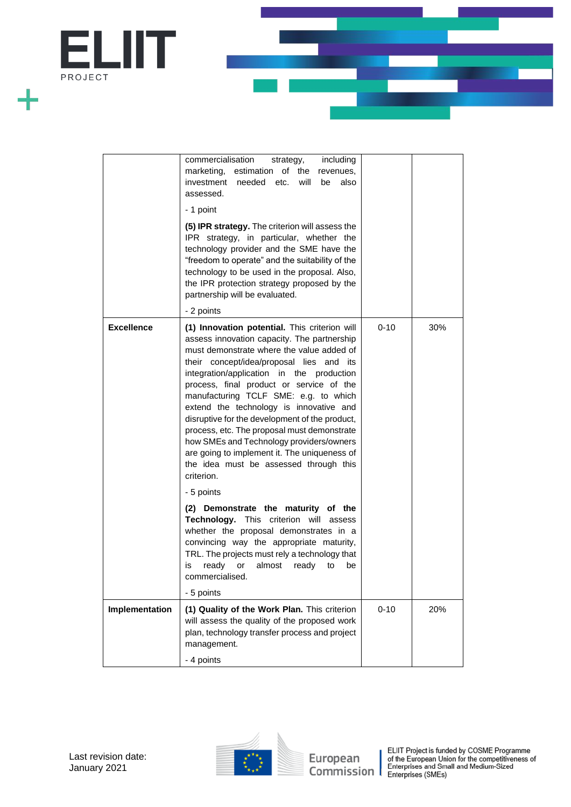

|                   | commercialisation<br>including<br>strategy,<br>marketing, estimation<br>of<br>the<br>revenues,<br>investment needed<br>will<br>etc.<br>be<br>also<br>assessed.<br>- 1 point<br>(5) IPR strategy. The criterion will assess the<br>IPR strategy, in particular, whether the<br>technology provider and the SME have the<br>"freedom to operate" and the suitability of the<br>technology to be used in the proposal. Also,<br>the IPR protection strategy proposed by the<br>partnership will be evaluated.<br>- 2 points                                                                                                                                                                                                                                                                                                                                                                                                                                           |          |     |
|-------------------|--------------------------------------------------------------------------------------------------------------------------------------------------------------------------------------------------------------------------------------------------------------------------------------------------------------------------------------------------------------------------------------------------------------------------------------------------------------------------------------------------------------------------------------------------------------------------------------------------------------------------------------------------------------------------------------------------------------------------------------------------------------------------------------------------------------------------------------------------------------------------------------------------------------------------------------------------------------------|----------|-----|
| <b>Excellence</b> | (1) Innovation potential. This criterion will<br>assess innovation capacity. The partnership<br>must demonstrate where the value added of<br>their concept/idea/proposal lies and<br>ıts<br>integration/application in the production<br>process, final product or service of the<br>manufacturing TCLF SME: e.g. to which<br>extend the technology is innovative and<br>disruptive for the development of the product,<br>process, etc. The proposal must demonstrate<br>how SMEs and Technology providers/owners<br>are going to implement it. The uniqueness of<br>the idea must be assessed through this<br>criterion.<br>- 5 points<br>(2) Demonstrate the maturity of the<br><b>Technology.</b> This criterion<br>will<br>assess<br>whether the proposal demonstrates in a<br>convincing way the appropriate maturity,<br>TRL. The projects must rely a technology that<br>ready<br>almost<br>is<br>or<br>ready<br>to<br>be<br>commercialised.<br>- 5 points | $0 - 10$ | 30% |
| Implementation    | (1) Quality of the Work Plan. This criterion<br>will assess the quality of the proposed work<br>plan, technology transfer process and project<br>management.<br>- 4 points                                                                                                                                                                                                                                                                                                                                                                                                                                                                                                                                                                                                                                                                                                                                                                                         | $0 - 10$ | 20% |



European ELIIT Project is funded by COSME Programme<br>
of the European Union for the competitiveness of<br>
Commission Enterprises (SMEs)<br>
Enterprises (SMEs)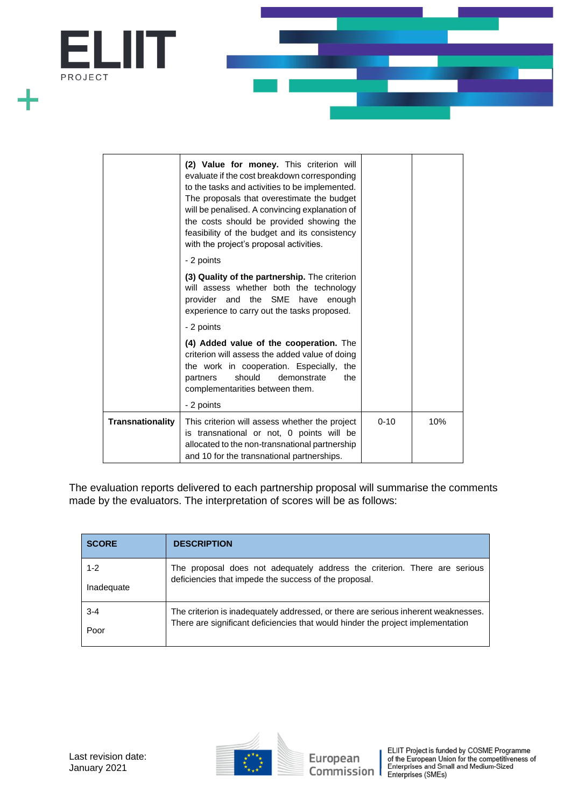

|                         | (2) Value for money. This criterion will<br>evaluate if the cost breakdown corresponding<br>to the tasks and activities to be implemented.<br>The proposals that overestimate the budget<br>will be penalised. A convincing explanation of<br>the costs should be provided showing the<br>feasibility of the budget and its consistency<br>with the project's proposal activities. |          |     |
|-------------------------|------------------------------------------------------------------------------------------------------------------------------------------------------------------------------------------------------------------------------------------------------------------------------------------------------------------------------------------------------------------------------------|----------|-----|
| - 2 points              |                                                                                                                                                                                                                                                                                                                                                                                    |          |     |
|                         | (3) Quality of the partnership. The criterion<br>will assess whether both the technology<br>provider and the SME<br>have<br>enough<br>experience to carry out the tasks proposed.                                                                                                                                                                                                  |          |     |
| - 2 points              |                                                                                                                                                                                                                                                                                                                                                                                    |          |     |
|                         | (4) Added value of the cooperation. The<br>criterion will assess the added value of doing<br>the work in cooperation. Especially,<br>the<br>should<br>partners<br>demonstrate<br>the<br>complementarities between them.<br>- 2 points                                                                                                                                              |          |     |
| <b>Transnationality</b> | This criterion will assess whether the project<br>is transnational or not, 0 points will be<br>allocated to the non-transnational partnership<br>and 10 for the transnational partnerships.                                                                                                                                                                                        | $0 - 10$ | 10% |

The evaluation reports delivered to each partnership proposal will summarise the comments made by the evaluators. The interpretation of scores will be as follows:

| <b>SCORE</b> | <b>DESCRIPTION</b>                                                                 |  |
|--------------|------------------------------------------------------------------------------------|--|
| $1 - 2$      | The proposal does not adequately address the criterion. There are serious          |  |
| Inadequate   | deficiencies that impede the success of the proposal.                              |  |
| $3 - 4$      | The criterion is inadequately addressed, or there are serious inherent weaknesses. |  |
| Poor         | There are significant deficiencies that would hinder the project implementation    |  |

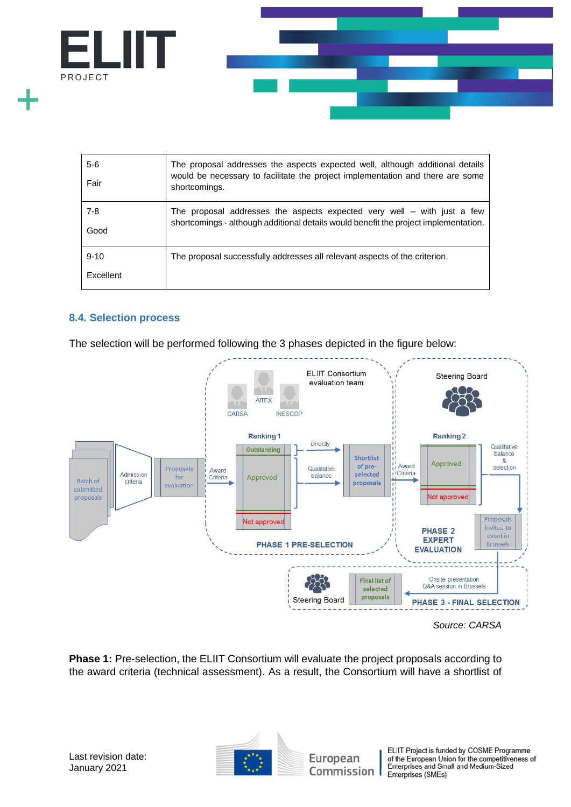

| $5-6$<br>Fair         | The proposal addresses the aspects expected well, although additional details<br>would be necessary to facilitate the project implementation and there are some<br>shortcomings. |
|-----------------------|----------------------------------------------------------------------------------------------------------------------------------------------------------------------------------|
| $7 - 8$<br>Good       | The proposal addresses the aspects expected very well $-$ with just a few<br>shortcomings - although additional details would benefit the project implementation.                |
| $9 - 10$<br>Excellent | The proposal successfully addresses all relevant aspects of the criterion.                                                                                                       |

## <span id="page-11-0"></span>**8.4. Selection process**

The selection will be performed following the 3 phases depicted in the figure below:



*Source: CARSA*

**Phase 1:** Pre-selection, the ELIIT Consortium will evaluate the project proposals according to the award criteria (technical assessment). As a result, the Consortium will have a shortlist of

European



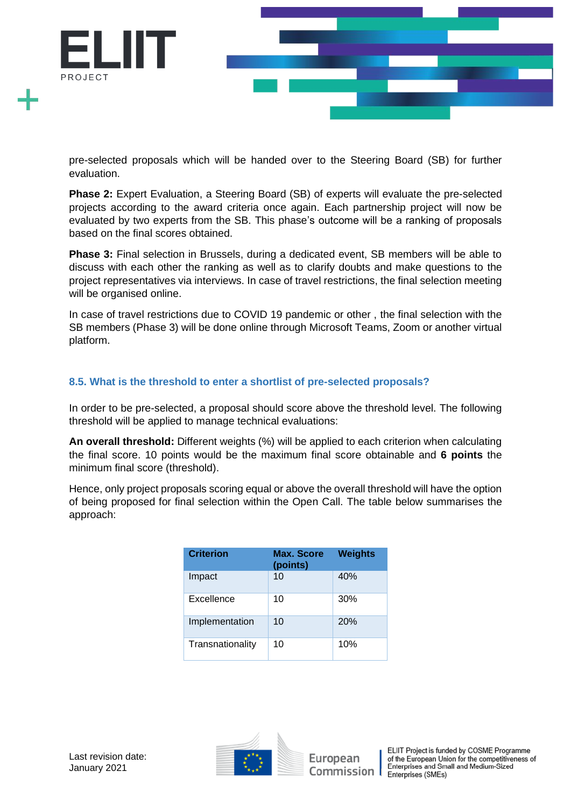

pre-selected proposals which will be handed over to the Steering Board (SB) for further evaluation.

**Phase 2:** Expert Evaluation, a Steering Board (SB) of experts will evaluate the pre-selected projects according to the award criteria once again. Each partnership project will now be evaluated by two experts from the SB. This phase's outcome will be a ranking of proposals based on the final scores obtained.

**Phase 3:** Final selection in Brussels, during a dedicated event, SB members will be able to discuss with each other the ranking as well as to clarify doubts and make questions to the project representatives via interviews. In case of travel restrictions, the final selection meeting will be organised online.

In case of travel restrictions due to COVID 19 pandemic or other , the final selection with the SB members (Phase 3) will be done online through Microsoft Teams, Zoom or another virtual platform.

## <span id="page-12-0"></span>**8.5. What is the threshold to enter a shortlist of pre-selected proposals?**

In order to be pre-selected, a proposal should score above the threshold level. The following threshold will be applied to manage technical evaluations:

**An overall threshold:** Different weights (%) will be applied to each criterion when calculating the final score. 10 points would be the maximum final score obtainable and **6 points** the minimum final score (threshold).

Hence, only project proposals scoring equal or above the overall threshold will have the option of being proposed for final selection within the Open Call. The table below summarises the approach:

| <b>Criterion</b> | <b>Max. Score</b><br>(points) | <b>Weights</b> |
|------------------|-------------------------------|----------------|
| Impact           | 10                            | 40%            |
| Excellence       | 10                            | 30%            |
| Implementation   | 10                            | 20%            |
| Transnationality | 10                            | 10%            |

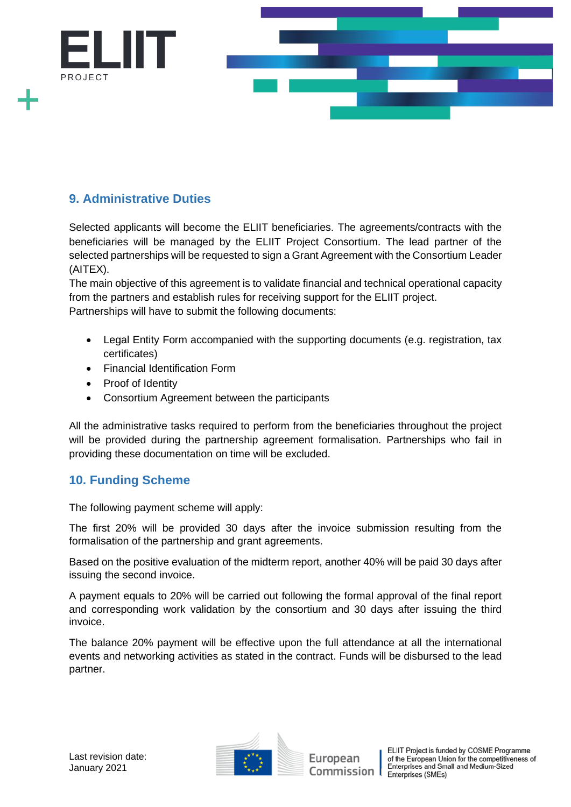

# <span id="page-13-0"></span>**9. Administrative Duties**

Selected applicants will become the ELIIT beneficiaries. The agreements/contracts with the beneficiaries will be managed by the ELIIT Project Consortium. The lead partner of the selected partnerships will be requested to sign a Grant Agreement with the Consortium Leader (AITEX).

The main objective of this agreement is to validate financial and technical operational capacity from the partners and establish rules for receiving support for the ELIIT project. Partnerships will have to submit the following documents:

- Legal Entity Form accompanied with the supporting documents (e.g. registration, tax certificates)
- Financial Identification Form
- Proof of Identity
- Consortium Agreement between the participants

All the administrative tasks required to perform from the beneficiaries throughout the project will be provided during the partnership agreement formalisation. Partnerships who fail in providing these documentation on time will be excluded.

# <span id="page-13-1"></span>**10. Funding Scheme**

The following payment scheme will apply:

The first 20% will be provided 30 days after the invoice submission resulting from the formalisation of the partnership and grant agreements.

Based on the positive evaluation of the midterm report, another 40% will be paid 30 days after issuing the second invoice.

A payment equals to 20% will be carried out following the formal approval of the final report and corresponding work validation by the consortium and 30 days after issuing the third invoice.

The balance 20% payment will be effective upon the full attendance at all the international events and networking activities as stated in the contract. Funds will be disbursed to the lead partner.

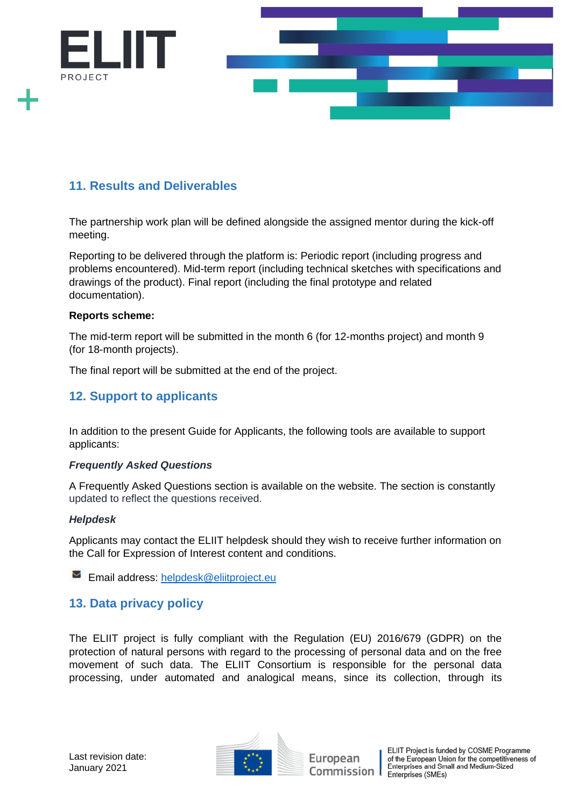

# <span id="page-14-0"></span>**11. Results and Deliverables**

The partnership work plan will be defined alongside the assigned mentor during the kick-off meeting.

Reporting to be delivered through the platform is: Periodic report (including progress and problems encountered). Mid-term report (including technical sketches with specifications and drawings of the product). Final report (including the final prototype and related documentation).

#### **Reports scheme:**

The mid-term report will be submitted in the month 6 (for 12-months project) and month 9 (for 18-month projects).

The final report will be submitted at the end of the project.

# <span id="page-14-1"></span>**12. Support to applicants**

In addition to the present Guide for Applicants, the following tools are available to support applicants:

#### *Frequently Asked Questions*

A Frequently Asked Questions section is available on the website. The section is constantly updated to reflect the questions received.

#### *Helpdesk*

Applicants may contact the ELIIT helpdesk should they wish to receive further information on the Call for Expression of Interest content and conditions.

**Email address:** [helpdesk@eliitproject.eu](mailto:helpdesk@eliitproject.eu)

# <span id="page-14-2"></span>**13. Data privacy policy**

The ELIIT project is fully compliant with the Regulation (EU) 2016/679 (GDPR) on the protection of natural persons with regard to the processing of personal data and on the free movement of such data. The ELIIT Consortium is responsible for the personal data processing, under automated and analogical means, since its collection, through its



European Commission I